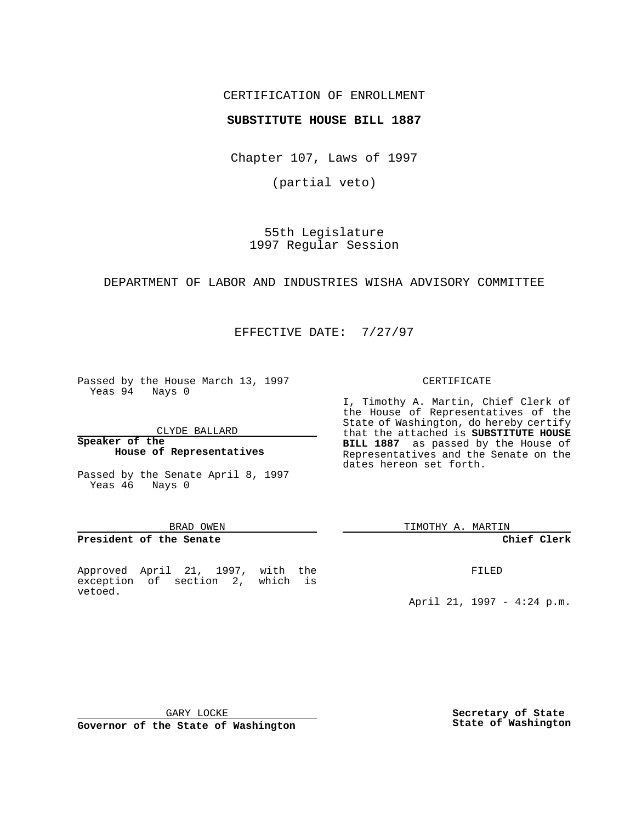## CERTIFICATION OF ENROLLMENT

## **SUBSTITUTE HOUSE BILL 1887**

Chapter 107, Laws of 1997

(partial veto)

55th Legislature 1997 Regular Session

DEPARTMENT OF LABOR AND INDUSTRIES WISHA ADVISORY COMMITTEE

EFFECTIVE DATE: 7/27/97

Passed by the House March 13, 1997 Yeas 94 Nays 0

CLYDE BALLARD

#### **Speaker of the House of Representatives**

Passed by the Senate April 8, 1997 Yeas 46 Nays 0

#### BRAD OWEN

### **President of the Senate**

Approved April 21, 1997, with the exception of section 2, which is vetoed.

#### CERTIFICATE

I, Timothy A. Martin, Chief Clerk of the House of Representatives of the State of Washington, do hereby certify that the attached is **SUBSTITUTE HOUSE BILL 1887** as passed by the House of Representatives and the Senate on the dates hereon set forth.

TIMOTHY A. MARTIN

### **Chief Clerk**

FILED

April 21, 1997 - 4:24 p.m.

GARY LOCKE

**Governor of the State of Washington**

**Secretary of State State of Washington**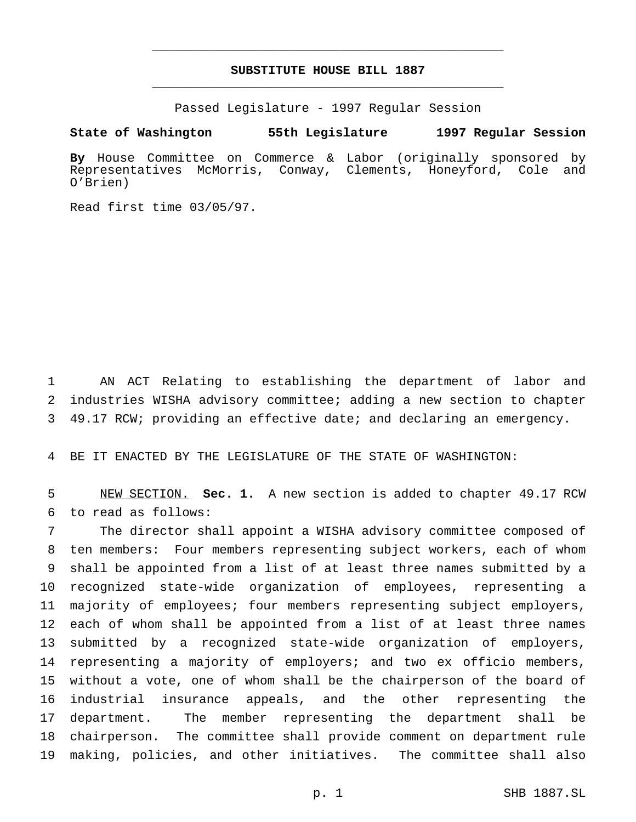# **SUBSTITUTE HOUSE BILL 1887** \_\_\_\_\_\_\_\_\_\_\_\_\_\_\_\_\_\_\_\_\_\_\_\_\_\_\_\_\_\_\_\_\_\_\_\_\_\_\_\_\_\_\_\_\_\_\_

\_\_\_\_\_\_\_\_\_\_\_\_\_\_\_\_\_\_\_\_\_\_\_\_\_\_\_\_\_\_\_\_\_\_\_\_\_\_\_\_\_\_\_\_\_\_\_

Passed Legislature - 1997 Regular Session

**State of Washington 55th Legislature 1997 Regular Session**

**By** House Committee on Commerce & Labor (originally sponsored by Representatives McMorris, Conway, Clements, Honeyford, Cole and O'Brien)

Read first time 03/05/97.

 AN ACT Relating to establishing the department of labor and industries WISHA advisory committee; adding a new section to chapter 49.17 RCW; providing an effective date; and declaring an emergency.

BE IT ENACTED BY THE LEGISLATURE OF THE STATE OF WASHINGTON:

 NEW SECTION. **Sec. 1.** A new section is added to chapter 49.17 RCW to read as follows:

 The director shall appoint a WISHA advisory committee composed of ten members: Four members representing subject workers, each of whom shall be appointed from a list of at least three names submitted by a recognized state-wide organization of employees, representing a majority of employees; four members representing subject employers, each of whom shall be appointed from a list of at least three names submitted by a recognized state-wide organization of employers, 14 representing a majority of employers; and two ex officio members, without a vote, one of whom shall be the chairperson of the board of industrial insurance appeals, and the other representing the department. The member representing the department shall be chairperson. The committee shall provide comment on department rule making, policies, and other initiatives. The committee shall also